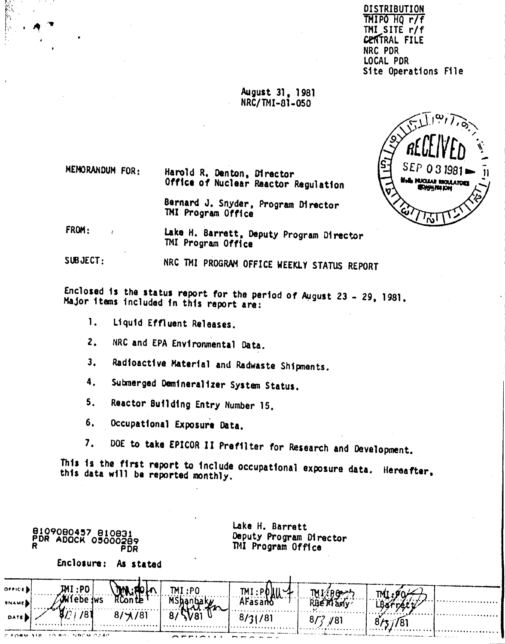**DISTRIBUTION** TMIPO HO r/f TMI SITE r/f CENTRAL FILE NRC PDR LOCAL PDR Site Operations File

### August 31, 1981 NRC/TMI-81-050

່∾

 $\cdots$ 

Harold R. Denton, Director Office of Nuclear Reactor Regulation

Bernard J. Snyder, Program Director TMI Program Office

FROM:

 $\mathbf{L}$  and  $\mathbf{L}$  and  $\mathbf{L}$ 

MEMORANDUM FOR:

Lake H. Barrett, Deputy Program Director TMI Program Office

SUBJECT: NRC TMI PROGRAM OFFICE WEEKLY STATUS REPORT

Enclosed is the status report for the period of August 23 - 29, 1981. Major items included in this report are:

- 1. Liquid Effluent Releases.
- NRC and EPA Environmental Data.  $2.$
- Radioactive Material and Radwaste Shipments.  $3.$
- Submerged Demineralizer System Status.  $4.$
- Reactor Building Entry Number 15.  $5.$
- 6. Occupational Exposure Data.
- DOE to take EPICOR II Prefilter for Research and Development.  $7.$

This is the first report to include occupational exposure data. Hereafter, this data will be reported monthly.

Lake H. Barrett

| <b>BIO9080457 BIOB31</b><br>PDR ADOCK 05000289<br><b>PDR</b> |                       |            | Deputy Program Director<br>TMI Program Office |                   |     |  |  |
|--------------------------------------------------------------|-----------------------|------------|-----------------------------------------------|-------------------|-----|--|--|
|                                                              | Enclosure:            | As stated  |                                               |                   |     |  |  |
| <b>OFFICE</b>                                                | ⊶ pr<br>.<br>Miebe ws |            | TMI:PO<br>MSb                                 | TMI:PI<br>AFasano |     |  |  |
| <b>RNAME</b><br><b>DATE</b>                                  | 78.<br>.              | $8/\pi/81$ |                                               | 8/31/81           | /81 |  |  |
| <b>CEORM 318</b>                                             | ヨウ れいこ りれどり のうすめ      |            |                                               |                   |     |  |  |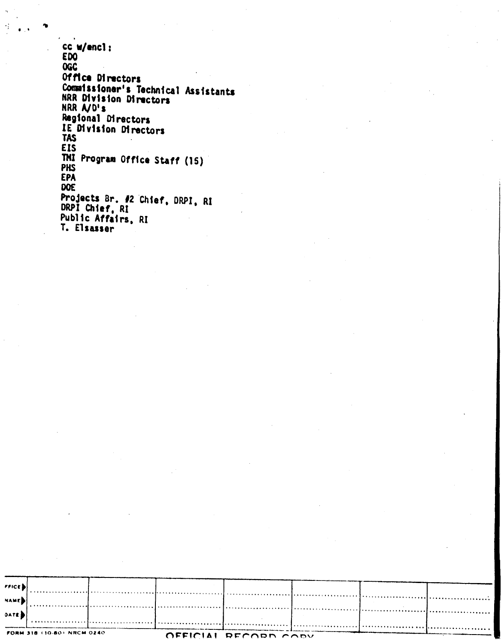cc w/encl: **EDO OGC** Office Directors Commaissioner's Technical Assistants<br>NRR Division Directors NRR A/D's Regional Directors IE Division Directors TAS **EIS** TNI Program Office Staff (15) PHS **EPA** DOE Projects Br. #2 Chief, DRPI, RI<br>DRPI Chief, RI Public Affairs, RI T. Elsasser

| <b>FFICE</b> |                            |  |                      |  |  |
|--------------|----------------------------|--|----------------------|--|--|
| <b>NAMED</b> |                            |  |                      |  |  |
| <b>DATE</b>  |                            |  |                      |  |  |
|              |                            |  |                      |  |  |
|              | FORM 318 (10-80) NRCM 0240 |  | OFFICIAL RECORD CODY |  |  |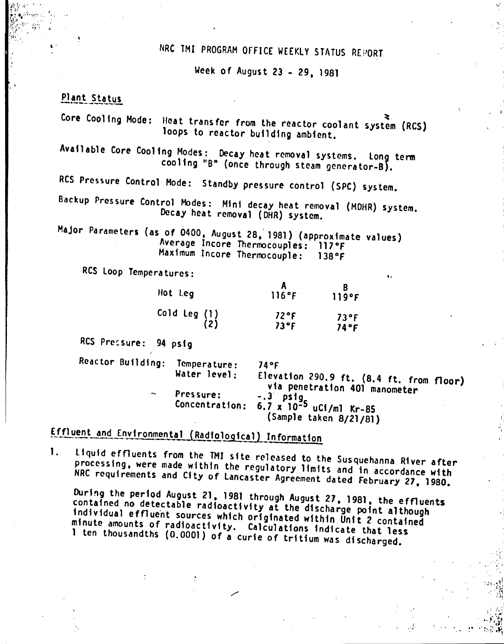## NRC TMI PROGRAM OFFICE WEEKLY STATUS REPORT

Week of August 23 - 29, 1981

### Plant Status

Core Cooling Mode: Heat transfer from the reactor coolant system (RCS) loops to reactor building ambient.

Available Core Cooling Modes: Decay heat removal systems. Long term cooling "B" (once through steam generator-B).

RCS Pressure Control Mode: Standby pressure control (SPC) system.

Backup Pressure Control Modes: Mini decay heat removal (MDHR) system. Decay heat removal (DHR) system.

Major Parameters (as of 0400, August 28, 1981) (approximate values) Average Incore Thermocouples: 117°F Maximum Incore Thermocouple:  $138$ °F

RCS Loop Temperatures:

| Hot Leg             | 116°F        | 119°F        |
|---------------------|--------------|--------------|
| (1) Cold Leg<br>(2) | 72°F<br>73°F | 73°F<br>74°F |

RCS Pressure: 94 psig

Reactor Building: Temperature:  $74°F$ Water level: Elevation 290.9 ft. (8.4 ft. from floor) via penetration 401 manometer Pressure:  $-.3^{+}$  psig<br>6.7 x 10<sup>-5</sup> uCi/ml Kr-85 Concentration: (Sample taken 8/21/81)

# Effluent and Environmental (Radiological) Information

Liquid effluents from the TMI site released to the Susquehanna River after  $\mathbf{1}$ . processing, were made within the regulatory limits and in accordance with NRC requirements and City of Lancaster Agreement dated February 27, 1980.

During the period August 21, 1981 through August 27, 1981, the effluents contained no detectable radioactivity at the discharge point although individual effluent sources which originated within Unit 2 contained minute amounts of radioactivity. Calculations indicate that less 1 ten thousandths (0.0001) of a curie of tritium was discharged.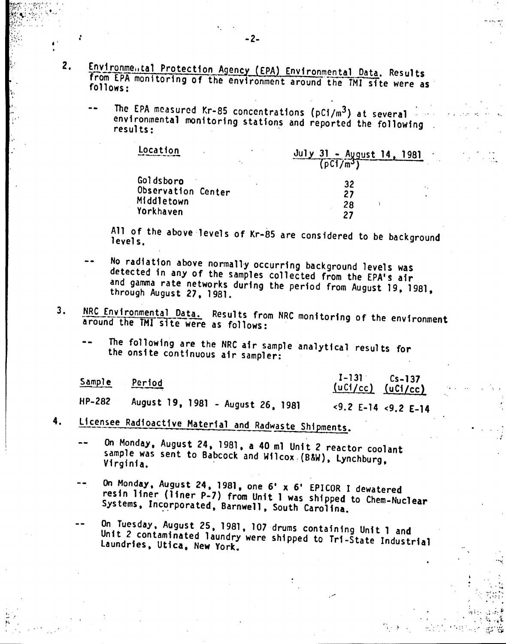Environmental Protection Agency (EPA) Environmental Data. Results from EPA monitoring of the environment around the TMI site were as follows:

 $2.$ 

The EPA measured Kr-85 concentrations (pCi/m<sup>3</sup>) at several environmental monitoring stations and reported the following  $result:$ 

| Location                                                   |  | $July 31 - August 14,$<br><b>1981</b><br>(DCI/m <sup>3</sup> ) |         |  |
|------------------------------------------------------------|--|----------------------------------------------------------------|---------|--|
| Goldsboro<br>Observation Center<br>Middletown<br>Yorkhaven |  | 32<br>27<br>28<br>27                                           | ٠.<br>۰ |  |

All of the above levels of Kr-85 are considered to be background levels.

- No radiation above normally occurring background levels was detected in any of the samples collected from the EPA's air and gamma rate networks during the period from August 19, 1981, through August 27, 1981.
- 3. NRC Environmental Data. Results from NRC monitoring of the environment around the TMI site were as follows:
	- The following are the NRC air sample analytical results for the onsite continuous air sampler:

 $1 - 131$  $Cs - 137$ Sample Period  $(uC1/cc)$   $(uC1/cc)$ August 19, 1981 - August 26, 1981 **HP-282**  $<9.2$  E-14  $<9.2$  E-14

Licensee Radioactive Material and Radwaste Shipments. 4.

On Monday, August 24, 1981, a 40 ml Unit 2 reactor coolant sample was sent to Babcock and Wilcox (B&W), Lynchburg, Virginia.

- On Monday, August 24, 1981, one 6' x 6' EPICOR I dewatered resin liner (liner P-7) from Unit 1 was shipped to Chem-Nuclear Systems, Incorporated, Barnwell, South Carolina.
- On Tuesday, August 25, 1981, 107 drums containing Unit 1 and Unit 2 contaminated laundry were shipped to Tri-State Industrial Laundries, Utica, New York.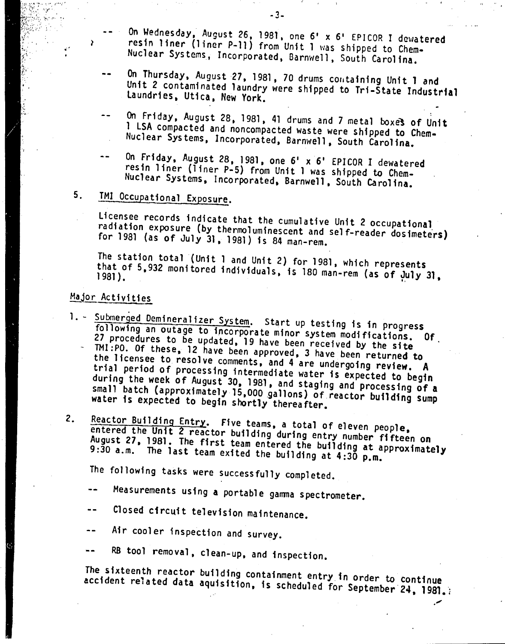- On Wednesday, August 26, 1981, one 6' x 6' EPICOR I dewatered resin liner (liner P-11) from Unit 1 was shipped to Chem-Nuclear Systems, Incorporated, Barnwell, South Carolina.
- On Thursday, August 27, 1981, 70 drums containing Unit 1 and Unit 2 contaminated laundry were shipped to Tri-State Industrial laundries, Utica, New York.
- On Friday, August 28, 1981, 41 drums and 7 metal boxes of Unit 1 LSA compacted and noncompacted waste were shipped to Chem-Nuclear Systems, Incorporated. Barnwell, South Carolina.
- On Friday. August 28, 1981, one 6<sup>1</sup> x 6<sup>1</sup> EPICOR I dewatered  $\sim$   $\sim$ resin liner (Iiner P-5) from Unit 1 was shipped to Chem-Nuclear Systems. Incorporated, Barnwell, South Carolina.

### 5. TMI Occupational Exposure.

Licensee records indicate that the cumulative Unit 2 occupational radiation exposure (by thermo1umfnescent and self-reader dosimeters) for 1981 (as of July 31, 1981) is 84 man-rem.

The station total (Unit 1 and Unit 2) for 1981. which represents that of 5,932 monitored individuals, is 180 man-rem (as of July 31,

### Major Activities

- 1. Submerged Demineralizer System. Start up testing is in progress following an outage to incorporate minor system modifications. Of 27 procedures to be updated, 19 have been received by the site TMI:PO. Of these, 12 have been approved, 3 have been returned to the licensee to resolve comments, and 4 are undergoing review. A trial period of processing intermediate water is expected to begin during the week of August 3D, 1981, and staging and processing of a small batch (approximately 15,000 gallons) of reactor building sump water is expected to begin shortly thereafter.
- 2. Reactor Building Entry. Five teams, a total of eleven people, entered the Unit 2 reactor building during entry number fi fteen on August 27. 1981. The first team entered the building at approximately 9:30 a.m. The last team exited the building at 4:30 p.m.

The following tasks were successfully completed.

- Measurements using a portable gamma spectrometer.
- Closed circuit television maintenance.
- Air cooler inspection and survey.

RB tool removal, clean-up, and inspection.

The sixteenth reactor building containment entry in order to continue accident related data aquisition, is scheduled for September 24, 1981.

.""

.3-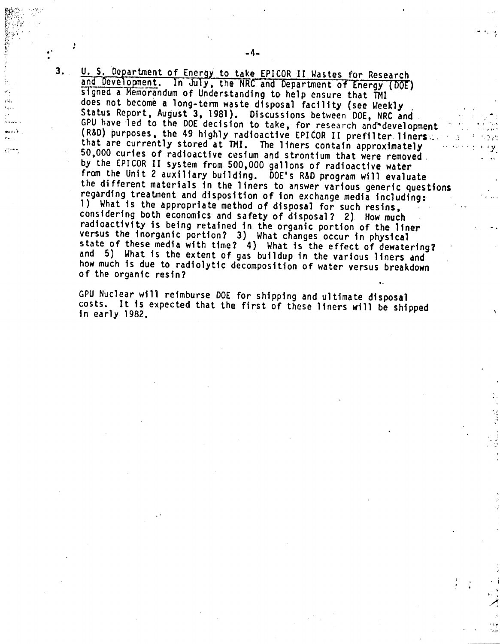U. S. Department of Energy to take EPICOR II Wastes for Research and Development. In July, the NRC and Department of Energy (DOE) signed a Memorandum of Understanding to help ensure that TMI does not become a long-term waste disposal facility (see Weekly Status Report, August 3, 1981). Discussions between DOE, NRC and GPU have led to the DOE decision to take, for research and development (R&D) purposes, the 49 highly radioactive EPICOR II prefilter liners. that are currently stored at TMI. The liners contain approximately 50,000 curies of radioactive cesium and strontium that were removed. by the EPICOR II system from 500,000 gallons of radioactive water from the Unit 2 auxiliary building. DOE's R&D program will evaluate the different materials in the liners to answer various generic questions regarding treatment and disposition of ion exchange media including: 1) What is the appropriate method of disposal for such resins, considering both economics and safety of disposal? 2). How much radioactivity is being retained in the organic portion of the liner versus the inorganic portion? 3) What changes occur in physical state of these media with time? 4) What is the effect of dewatering? and 5) What is the extent of gas buildup in the various liners and how much is due to radiolytic decomposition of water versus breakdown of the organic resin?

5. P (1

 $\mathscr{L}(\mathscr{L})$ 

GPU Nuclear will reimburse DOE for shipping and ultimate disposal costs. It is expected that the first of these liners will be shipped in early 1982.

 $3.$ 

蛇叶的